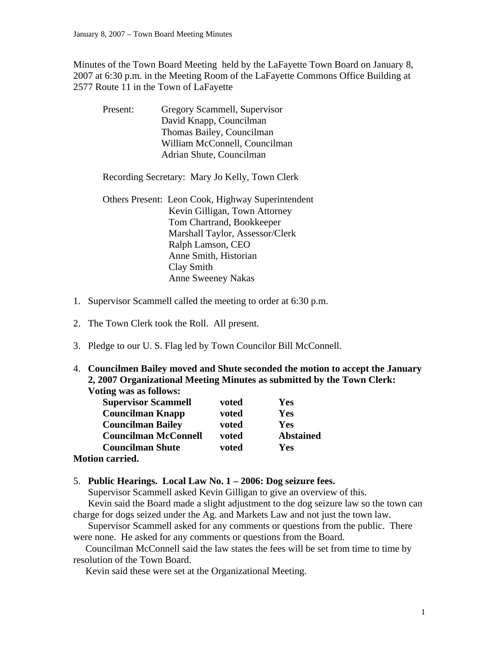Minutes of the Town Board Meeting held by the LaFayette Town Board on January 8, 2007 at 6:30 p.m. in the Meeting Room of the LaFayette Commons Office Building at 2577 Route 11 in the Town of LaFayette

| Present: | Gregory Scammell, Supervisor                      |
|----------|---------------------------------------------------|
|          | David Knapp, Councilman                           |
|          | Thomas Bailey, Councilman                         |
|          | William McConnell, Councilman                     |
|          | Adrian Shute, Councilman                          |
|          | Recording Secretary: Mary Jo Kelly, Town Clerk    |
|          | Others Present: Leon Cook, Highway Superintendent |
|          | Kevin Gilligan, Town Attorney                     |
|          | Tom Chartrand, Bookkeeper                         |
|          | Marshall Taylor, Assessor/Clerk                   |
|          | Ralph Lamson, CEO                                 |
|          | Anne Smith, Historian                             |
|          | Clay Smith                                        |
|          | <b>Anne Sweeney Nakas</b>                         |

- 1. Supervisor Scammell called the meeting to order at 6:30 p.m.
- 2. The Town Clerk took the Roll. All present.
- 3. Pledge to our U. S. Flag led by Town Councilor Bill McConnell.
- 4. **Councilmen Bailey moved and Shute seconded the motion to accept the January 2, 2007 Organizational Meeting Minutes as submitted by the Town Clerk: Voting was as follows:**

| <b>Supervisor Scammell</b>  | voted | Yes              |
|-----------------------------|-------|------------------|
| <b>Councilman Knapp</b>     | voted | Yes              |
| <b>Councilman Bailey</b>    | voted | Yes              |
| <b>Councilman McConnell</b> | voted | <b>Abstained</b> |
| <b>Councilman Shute</b>     | voted | Yes              |
|                             |       |                  |

#### **Motion carried.**

### 5. **Public Hearings. Local Law No. 1 – 2006: Dog seizure fees.**

Supervisor Scammell asked Kevin Gilligan to give an overview of this.

Kevin said the Board made a slight adjustment to the dog seizure law so the town can charge for dogs seized under the Ag. and Markets Law and not just the town law.

 Supervisor Scammell asked for any comments or questions from the public. There were none. He asked for any comments or questions from the Board.

 Councilman McConnell said the law states the fees will be set from time to time by resolution of the Town Board.

Kevin said these were set at the Organizational Meeting.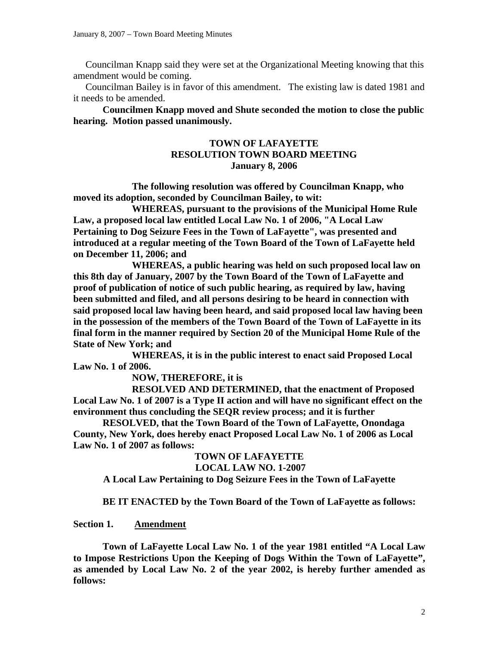Councilman Knapp said they were set at the Organizational Meeting knowing that this amendment would be coming.

 Councilman Bailey is in favor of this amendment. The existing law is dated 1981 and it needs to be amended.

**Councilmen Knapp moved and Shute seconded the motion to close the public hearing. Motion passed unanimously.** 

### **TOWN OF LAFAYETTE RESOLUTION TOWN BOARD MEETING January 8, 2006**

 **The following resolution was offered by Councilman Knapp, who moved its adoption, seconded by Councilman Bailey, to wit:** 

 **WHEREAS, pursuant to the provisions of the Municipal Home Rule Law, a proposed local law entitled Local Law No. 1 of 2006, "A Local Law Pertaining to Dog Seizure Fees in the Town of LaFayette", was presented and introduced at a regular meeting of the Town Board of the Town of LaFayette held on December 11, 2006; and** 

 **WHEREAS, a public hearing was held on such proposed local law on this 8th day of January, 2007 by the Town Board of the Town of LaFayette and proof of publication of notice of such public hearing, as required by law, having been submitted and filed, and all persons desiring to be heard in connection with said proposed local law having been heard, and said proposed local law having been in the possession of the members of the Town Board of the Town of LaFayette in its final form in the manner required by Section 20 of the Municipal Home Rule of the State of New York; and** 

 **WHEREAS, it is in the public interest to enact said Proposed Local Law No. 1 of 2006.** 

### **NOW, THEREFORE, it is**

 **RESOLVED AND DETERMINED, that the enactment of Proposed Local Law No. 1 of 2007 is a Type II action and will have no significant effect on the environment thus concluding the SEQR review process; and it is further** 

**RESOLVED, that the Town Board of the Town of LaFayette, Onondaga County, New York, does hereby enact Proposed Local Law No. 1 of 2006 as Local Law No. 1 of 2007 as follows:** 

#### **TOWN OF LAFAYETTE LOCAL LAW NO. 1-2007**

**A Local Law Pertaining to Dog Seizure Fees in the Town of LaFayette** 

 **BE IT ENACTED by the Town Board of the Town of LaFayette as follows:** 

### **Section 1. Amendment**

 **Town of LaFayette Local Law No. 1 of the year 1981 entitled "A Local Law to Impose Restrictions Upon the Keeping of Dogs Within the Town of LaFayette", as amended by Local Law No. 2 of the year 2002, is hereby further amended as follows:**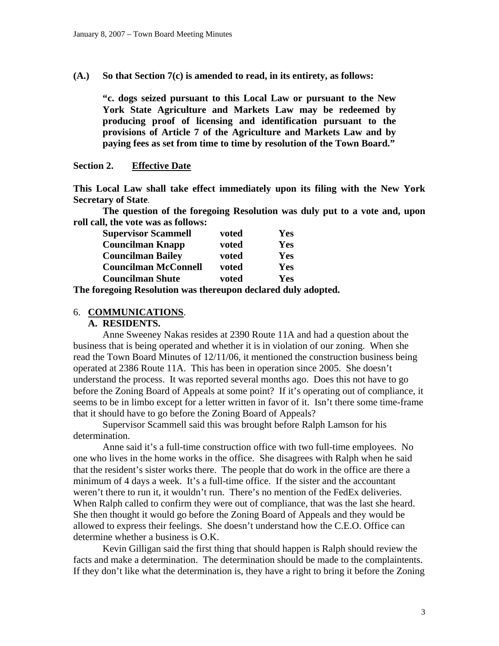**(A.) So that Section 7(c) is amended to read, in its entirety, as follows:** 

**"c. dogs seized pursuant to this Local Law or pursuant to the New York State Agriculture and Markets Law may be redeemed by producing proof of licensing and identification pursuant to the provisions of Article 7 of the Agriculture and Markets Law and by paying fees as set from time to time by resolution of the Town Board."** 

#### **Section 2. Effective Date**

**This Local Law shall take effect immediately upon its filing with the New York Secretary of State**.

 **The question of the foregoing Resolution was duly put to a vote and, upon roll call, the vote was as follows:** 

| <b>Supervisor Scammell</b>  | voted | Yes |
|-----------------------------|-------|-----|
| <b>Councilman Knapp</b>     | voted | Yes |
| <b>Councilman Bailey</b>    | voted | Yes |
| <b>Councilman McConnell</b> | voted | Yes |
| <b>Councilman Shute</b>     | voted | Yes |

**The foregoing Resolution was thereupon declared duly adopted.** 

#### 6. **COMMUNICATIONS**.

**A. RESIDENTS.** 

Anne Sweeney Nakas resides at 2390 Route 11A and had a question about the business that is being operated and whether it is in violation of our zoning. When she read the Town Board Minutes of 12/11/06, it mentioned the construction business being operated at 2386 Route 11A. This has been in operation since 2005. She doesn't understand the process. It was reported several months ago. Does this not have to go before the Zoning Board of Appeals at some point? If it's operating out of compliance, it seems to be in limbo except for a letter written in favor of it. Isn't there some time-frame that it should have to go before the Zoning Board of Appeals?

 Supervisor Scammell said this was brought before Ralph Lamson for his determination.

 Anne said it's a full-time construction office with two full-time employees. No one who lives in the home works in the office. She disagrees with Ralph when he said that the resident's sister works there. The people that do work in the office are there a minimum of 4 days a week. It's a full-time office. If the sister and the accountant weren't there to run it, it wouldn't run. There's no mention of the FedEx deliveries. When Ralph called to confirm they were out of compliance, that was the last she heard. She then thought it would go before the Zoning Board of Appeals and they would be allowed to express their feelings. She doesn't understand how the C.E.O. Office can determine whether a business is O.K.

 Kevin Gilligan said the first thing that should happen is Ralph should review the facts and make a determination. The determination should be made to the complaintents. If they don't like what the determination is, they have a right to bring it before the Zoning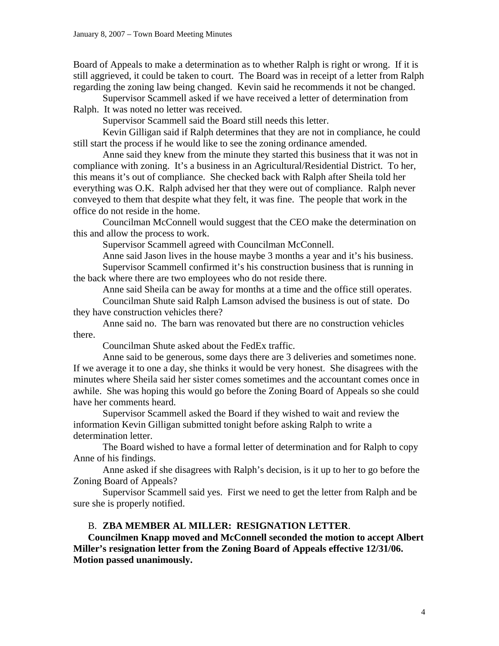Board of Appeals to make a determination as to whether Ralph is right or wrong. If it is still aggrieved, it could be taken to court. The Board was in receipt of a letter from Ralph regarding the zoning law being changed. Kevin said he recommends it not be changed.

 Supervisor Scammell asked if we have received a letter of determination from Ralph. It was noted no letter was received.

Supervisor Scammell said the Board still needs this letter.

 Kevin Gilligan said if Ralph determines that they are not in compliance, he could still start the process if he would like to see the zoning ordinance amended.

 Anne said they knew from the minute they started this business that it was not in compliance with zoning. It's a business in an Agricultural/Residential District. To her, this means it's out of compliance. She checked back with Ralph after Sheila told her everything was O.K. Ralph advised her that they were out of compliance. Ralph never conveyed to them that despite what they felt, it was fine. The people that work in the office do not reside in the home.

 Councilman McConnell would suggest that the CEO make the determination on this and allow the process to work.

Supervisor Scammell agreed with Councilman McConnell.

 Anne said Jason lives in the house maybe 3 months a year and it's his business. Supervisor Scammell confirmed it's his construction business that is running in the back where there are two employees who do not reside there.

Anne said Sheila can be away for months at a time and the office still operates.

 Councilman Shute said Ralph Lamson advised the business is out of state. Do they have construction vehicles there?

 Anne said no. The barn was renovated but there are no construction vehicles there.

Councilman Shute asked about the FedEx traffic.

 Anne said to be generous, some days there are 3 deliveries and sometimes none. If we average it to one a day, she thinks it would be very honest. She disagrees with the minutes where Sheila said her sister comes sometimes and the accountant comes once in awhile. She was hoping this would go before the Zoning Board of Appeals so she could have her comments heard.

 Supervisor Scammell asked the Board if they wished to wait and review the information Kevin Gilligan submitted tonight before asking Ralph to write a determination letter.

 The Board wished to have a formal letter of determination and for Ralph to copy Anne of his findings.

 Anne asked if she disagrees with Ralph's decision, is it up to her to go before the Zoning Board of Appeals?

 Supervisor Scammell said yes. First we need to get the letter from Ralph and be sure she is properly notified.

### B. **ZBA MEMBER AL MILLER: RESIGNATION LETTER**.

**Councilmen Knapp moved and McConnell seconded the motion to accept Albert Miller's resignation letter from the Zoning Board of Appeals effective 12/31/06. Motion passed unanimously.**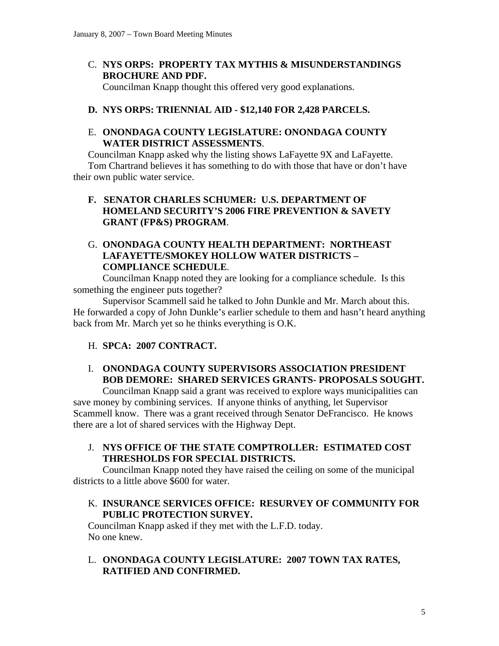C. **NYS ORPS: PROPERTY TAX MYTHIS & MISUNDERSTANDINGS BROCHURE AND PDF.**

Councilman Knapp thought this offered very good explanations.

# **D. NYS ORPS: TRIENNIAL AID - \$12,140 FOR 2,428 PARCELS.**

## E. **ONONDAGA COUNTY LEGISLATURE: ONONDAGA COUNTY WATER DISTRICT ASSESSMENTS**.

Councilman Knapp asked why the listing shows LaFayette 9X and LaFayette. Tom Chartrand believes it has something to do with those that have or don't have their own public water service.

## **F. SENATOR CHARLES SCHUMER: U.S. DEPARTMENT OF HOMELAND SECURITY'S 2006 FIRE PREVENTION & SAVETY GRANT (FP&S) PROGRAM**.

# G. **ONONDAGA COUNTY HEALTH DEPARTMENT: NORTHEAST LAFAYETTE/SMOKEY HOLLOW WATER DISTRICTS – COMPLIANCE SCHEDULE**.

Councilman Knapp noted they are looking for a compliance schedule. Is this something the engineer puts together?

 Supervisor Scammell said he talked to John Dunkle and Mr. March about this. He forwarded a copy of John Dunkle's earlier schedule to them and hasn't heard anything back from Mr. March yet so he thinks everything is O.K.

## H. **SPCA: 2007 CONTRACT.**

# I. **ONONDAGA COUNTY SUPERVISORS ASSOCIATION PRESIDENT BOB DEMORE: SHARED SERVICES GRANTS- PROPOSALS SOUGHT.**

Councilman Knapp said a grant was received to explore ways municipalities can save money by combining services. If anyone thinks of anything, let Supervisor Scammell know. There was a grant received through Senator DeFrancisco. He knows there are a lot of shared services with the Highway Dept.

J. **NYS OFFICE OF THE STATE COMPTROLLER: ESTIMATED COST THRESHOLDS FOR SPECIAL DISTRICTS.** 

Councilman Knapp noted they have raised the ceiling on some of the municipal districts to a little above \$600 for water.

## K. **INSURANCE SERVICES OFFICE: RESURVEY OF COMMUNITY FOR PUBLIC PROTECTION SURVEY.**

Councilman Knapp asked if they met with the L.F.D. today. No one knew.

L. **ONONDAGA COUNTY LEGISLATURE: 2007 TOWN TAX RATES, RATIFIED AND CONFIRMED.**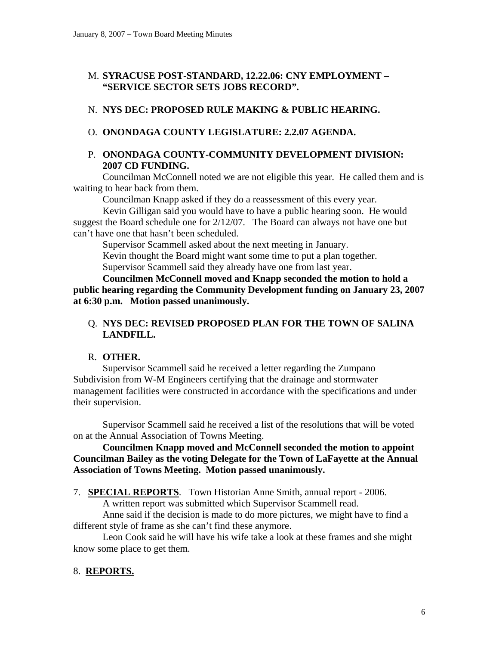## M. **SYRACUSE POST-STANDARD, 12.22.06: CNY EMPLOYMENT – "SERVICE SECTOR SETS JOBS RECORD".**

# N. **NYS DEC: PROPOSED RULE MAKING & PUBLIC HEARING.**

## O. **ONONDAGA COUNTY LEGISLATURE: 2.2.07 AGENDA.**

## P. **ONONDAGA COUNTY-COMMUNITY DEVELOPMENT DIVISION: 2007 CD FUNDING.**

Councilman McConnell noted we are not eligible this year. He called them and is waiting to hear back from them.

Councilman Knapp asked if they do a reassessment of this every year.

 Kevin Gilligan said you would have to have a public hearing soon. He would suggest the Board schedule one for 2/12/07. The Board can always not have one but can't have one that hasn't been scheduled.

Supervisor Scammell asked about the next meeting in January.

Kevin thought the Board might want some time to put a plan together. Supervisor Scammell said they already have one from last year.

**Councilmen McConnell moved and Knapp seconded the motion to hold a public hearing regarding the Community Development funding on January 23, 2007 at 6:30 p.m. Motion passed unanimously.** 

## Q. **NYS DEC: REVISED PROPOSED PLAN FOR THE TOWN OF SALINA LANDFILL.**

## R. **OTHER.**

Supervisor Scammell said he received a letter regarding the Zumpano Subdivision from W-M Engineers certifying that the drainage and stormwater management facilities were constructed in accordance with the specifications and under their supervision.

 Supervisor Scammell said he received a list of the resolutions that will be voted on at the Annual Association of Towns Meeting.

### **Councilmen Knapp moved and McConnell seconded the motion to appoint Councilman Bailey as the voting Delegate for the Town of LaFayette at the Annual Association of Towns Meeting. Motion passed unanimously.**

7. **SPECIAL REPORTS**. Town Historian Anne Smith, annual report - 2006.

A written report was submitted which Supervisor Scammell read.

 Anne said if the decision is made to do more pictures, we might have to find a different style of frame as she can't find these anymore.

 Leon Cook said he will have his wife take a look at these frames and she might know some place to get them.

# 8. **REPORTS.**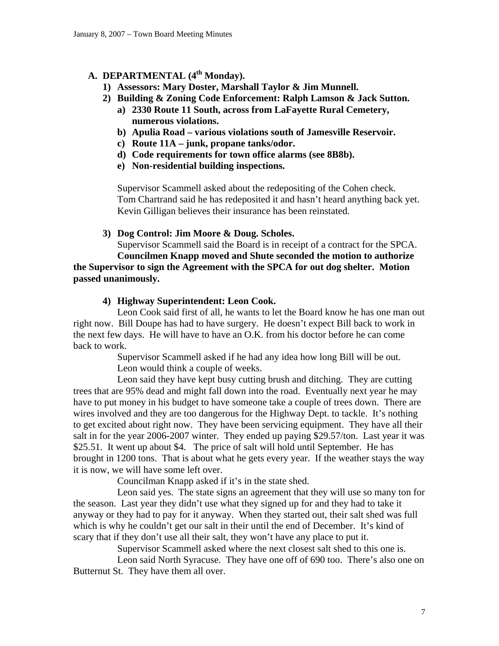## A. **DEPARTMENTAL** (4<sup>th</sup> Monday).

- **1) Assessors: Mary Doster, Marshall Taylor & Jim Munnell.**
- **2) Building & Zoning Code Enforcement: Ralph Lamson & Jack Sutton.** 
	- **a) 2330 Route 11 South, across from LaFayette Rural Cemetery, numerous violations.**
	- **b) Apulia Road various violations south of Jamesville Reservoir.**
	- **c) Route 11A junk, propane tanks/odor.**
	- **d) Code requirements for town office alarms (see 8B8b).**
	- **e) Non-residential building inspections.**

Supervisor Scammell asked about the redepositing of the Cohen check. Tom Chartrand said he has redeposited it and hasn't heard anything back yet. Kevin Gilligan believes their insurance has been reinstated.

**3) Dog Control: Jim Moore & Doug. Scholes.** 

Supervisor Scammell said the Board is in receipt of a contract for the SPCA. **Councilmen Knapp moved and Shute seconded the motion to authorize** 

**the Supervisor to sign the Agreement with the SPCA for out dog shelter. Motion passed unanimously.** 

### **4) Highway Superintendent: Leon Cook.**

Leon Cook said first of all, he wants to let the Board know he has one man out right now. Bill Doupe has had to have surgery. He doesn't expect Bill back to work in the next few days. He will have to have an O.K. from his doctor before he can come back to work.

> Supervisor Scammell asked if he had any idea how long Bill will be out. Leon would think a couple of weeks.

 Leon said they have kept busy cutting brush and ditching. They are cutting trees that are 95% dead and might fall down into the road. Eventually next year he may have to put money in his budget to have someone take a couple of trees down. There are wires involved and they are too dangerous for the Highway Dept. to tackle. It's nothing to get excited about right now. They have been servicing equipment. They have all their salt in for the year 2006-2007 winter. They ended up paying \$29.57/ton. Last year it was \$25.51. It went up about \$4. The price of salt will hold until September. He has brought in 1200 tons. That is about what he gets every year. If the weather stays the way it is now, we will have some left over.

Councilman Knapp asked if it's in the state shed.

 Leon said yes. The state signs an agreement that they will use so many ton for the season. Last year they didn't use what they signed up for and they had to take it anyway or they had to pay for it anyway. When they started out, their salt shed was full which is why he couldn't get our salt in their until the end of December. It's kind of scary that if they don't use all their salt, they won't have any place to put it.

Supervisor Scammell asked where the next closest salt shed to this one is.

 Leon said North Syracuse. They have one off of 690 too. There's also one on Butternut St. They have them all over.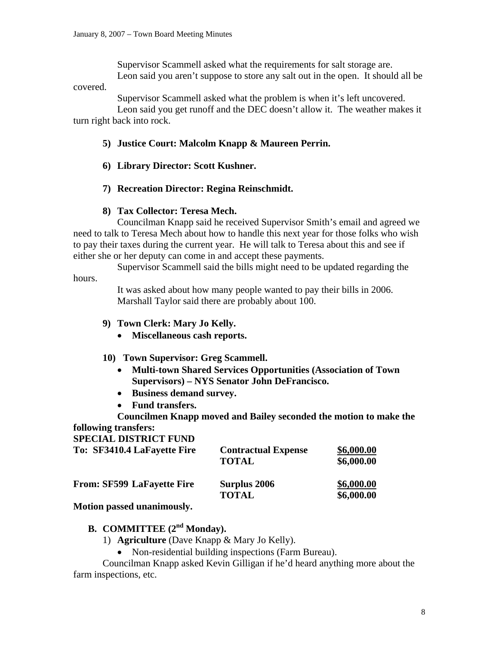Supervisor Scammell asked what the requirements for salt storage are. Leon said you aren't suppose to store any salt out in the open. It should all be

covered.

Supervisor Scammell asked what the problem is when it's left uncovered.

 Leon said you get runoff and the DEC doesn't allow it. The weather makes it turn right back into rock.

### **5) Justice Court: Malcolm Knapp & Maureen Perrin.**

- **6) Library Director: Scott Kushner.**
- **7) Recreation Director: Regina Reinschmidt.**

### **8) Tax Collector: Teresa Mech.**

Councilman Knapp said he received Supervisor Smith's email and agreed we need to talk to Teresa Mech about how to handle this next year for those folks who wish to pay their taxes during the current year. He will talk to Teresa about this and see if either she or her deputy can come in and accept these payments.

 Supervisor Scammell said the bills might need to be updated regarding the hours.

> It was asked about how many people wanted to pay their bills in 2006. Marshall Taylor said there are probably about 100.

### **9) Town Clerk: Mary Jo Kelly.**

- **Miscellaneous cash reports.**
- **10) Town Supervisor: Greg Scammell.** 
	- **Multi-town Shared Services Opportunities (Association of Town Supervisors) – NYS Senator John DeFrancisco.**
	- **Business demand survey.**
	- **Fund transfers.**

**Councilmen Knapp moved and Bailey seconded the motion to make the following transfers:** 

#### **SPECIAL DISTRICT FUND**

| To: SF3410.4 LaFayette Fire       | <b>Contractual Expense</b><br><b>TOTAL</b> | \$6,000.00<br>\$6,000.00 |
|-----------------------------------|--------------------------------------------|--------------------------|
| <b>From: SF599 LaFayette Fire</b> | <b>Surplus 2006</b><br><b>TOTAL</b>        | \$6,000.00<br>\$6,000.00 |

**Motion passed unanimously.** 

# **B. COMMITTEE** (2<sup>nd</sup> Monday).

- 1) **Agriculture** (Dave Knapp & Mary Jo Kelly).
	- Non-residential building inspections (Farm Bureau).

Councilman Knapp asked Kevin Gilligan if he'd heard anything more about the farm inspections, etc.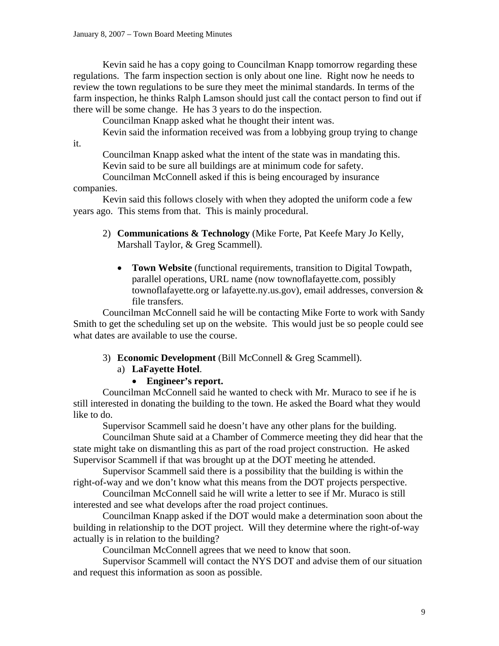Kevin said he has a copy going to Councilman Knapp tomorrow regarding these regulations. The farm inspection section is only about one line. Right now he needs to review the town regulations to be sure they meet the minimal standards. In terms of the farm inspection, he thinks Ralph Lamson should just call the contact person to find out if there will be some change. He has 3 years to do the inspection.

Councilman Knapp asked what he thought their intent was.

Kevin said the information received was from a lobbying group trying to change

it.

 Councilman Knapp asked what the intent of the state was in mandating this. Kevin said to be sure all buildings are at minimum code for safety.

 Councilman McConnell asked if this is being encouraged by insurance companies.

 Kevin said this follows closely with when they adopted the uniform code a few years ago. This stems from that. This is mainly procedural.

- 2) **Communications & Technology** (Mike Forte, Pat Keefe Mary Jo Kelly, Marshall Taylor, & Greg Scammell).
	- **Town Website** (functional requirements, transition to Digital Towpath, parallel operations, URL name (now townoflafayette.com, possibly townoflafayette.org or lafayette.ny.us.gov), email addresses, conversion & file transfers.

Councilman McConnell said he will be contacting Mike Forte to work with Sandy Smith to get the scheduling set up on the website. This would just be so people could see what dates are available to use the course.

### 3) **Economic Development** (Bill McConnell & Greg Scammell).

#### a) **LaFayette Hotel**.

• **Engineer's report.** 

Councilman McConnell said he wanted to check with Mr. Muraco to see if he is still interested in donating the building to the town. He asked the Board what they would like to do.

Supervisor Scammell said he doesn't have any other plans for the building.

 Councilman Shute said at a Chamber of Commerce meeting they did hear that the state might take on dismantling this as part of the road project construction. He asked Supervisor Scammell if that was brought up at the DOT meeting he attended.

 Supervisor Scammell said there is a possibility that the building is within the right-of-way and we don't know what this means from the DOT projects perspective.

 Councilman McConnell said he will write a letter to see if Mr. Muraco is still interested and see what develops after the road project continues.

 Councilman Knapp asked if the DOT would make a determination soon about the building in relationship to the DOT project. Will they determine where the right-of-way actually is in relation to the building?

Councilman McConnell agrees that we need to know that soon.

 Supervisor Scammell will contact the NYS DOT and advise them of our situation and request this information as soon as possible.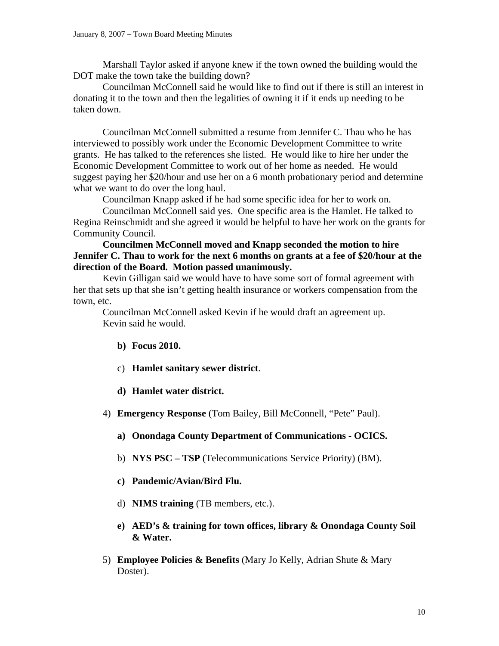Marshall Taylor asked if anyone knew if the town owned the building would the DOT make the town take the building down?

 Councilman McConnell said he would like to find out if there is still an interest in donating it to the town and then the legalities of owning it if it ends up needing to be taken down.

 Councilman McConnell submitted a resume from Jennifer C. Thau who he has interviewed to possibly work under the Economic Development Committee to write grants. He has talked to the references she listed. He would like to hire her under the Economic Development Committee to work out of her home as needed. He would suggest paying her \$20/hour and use her on a 6 month probationary period and determine what we want to do over the long haul.

Councilman Knapp asked if he had some specific idea for her to work on.

 Councilman McConnell said yes. One specific area is the Hamlet. He talked to Regina Reinschmidt and she agreed it would be helpful to have her work on the grants for Community Council.

### **Councilmen McConnell moved and Knapp seconded the motion to hire Jennifer C. Thau to work for the next 6 months on grants at a fee of \$20/hour at the direction of the Board. Motion passed unanimously.**

 Kevin Gilligan said we would have to have some sort of formal agreement with her that sets up that she isn't getting health insurance or workers compensation from the town, etc.

 Councilman McConnell asked Kevin if he would draft an agreement up. Kevin said he would.

- **b) Focus 2010.**
- c) **Hamlet sanitary sewer district**.
- **d) Hamlet water district.**
- 4) **Emergency Response** (Tom Bailey, Bill McConnell, "Pete" Paul).
	- **a) Onondaga County Department of Communications OCICS.**
	- b) **NYS PSC TSP** (Telecommunications Service Priority) (BM).
	- **c) Pandemic/Avian/Bird Flu.**
	- d) **NIMS training** (TB members, etc.).
	- **e) AED's & training for town offices, library & Onondaga County Soil & Water.**
- 5) **Employee Policies & Benefits** (Mary Jo Kelly, Adrian Shute & Mary Doster).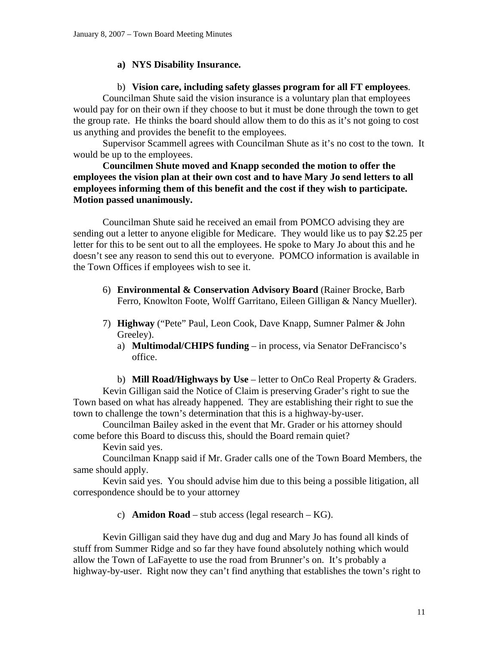### **a) NYS Disability Insurance.**

### b) **Vision care, including safety glasses program for all FT employees**.

Councilman Shute said the vision insurance is a voluntary plan that employees would pay for on their own if they choose to but it must be done through the town to get the group rate. He thinks the board should allow them to do this as it's not going to cost us anything and provides the benefit to the employees.

 Supervisor Scammell agrees with Councilman Shute as it's no cost to the town. It would be up to the employees.

**Councilmen Shute moved and Knapp seconded the motion to offer the employees the vision plan at their own cost and to have Mary Jo send letters to all employees informing them of this benefit and the cost if they wish to participate. Motion passed unanimously.** 

Councilman Shute said he received an email from POMCO advising they are sending out a letter to anyone eligible for Medicare. They would like us to pay \$2.25 per letter for this to be sent out to all the employees. He spoke to Mary Jo about this and he doesn't see any reason to send this out to everyone. POMCO information is available in the Town Offices if employees wish to see it.

- 6) **Environmental & Conservation Advisory Board** (Rainer Brocke, Barb Ferro, Knowlton Foote, Wolff Garritano, Eileen Gilligan & Nancy Mueller).
- 7) **Highway** ("Pete" Paul, Leon Cook, Dave Knapp, Sumner Palmer & John Greeley).
	- a) **Multimodal/CHIPS funding** in process, via Senator DeFrancisco's office.

b) **Mill Road/Highways by Use** – letter to OnCo Real Property & Graders. Kevin Gilligan said the Notice of Claim is preserving Grader's right to sue the Town based on what has already happened. They are establishing their right to sue the town to challenge the town's determination that this is a highway-by-user.

Councilman Bailey asked in the event that Mr. Grader or his attorney should come before this Board to discuss this, should the Board remain quiet?

Kevin said yes.

Councilman Knapp said if Mr. Grader calls one of the Town Board Members, the same should apply.

Kevin said yes. You should advise him due to this being a possible litigation, all correspondence should be to your attorney

c) **Amidon Road** – stub access (legal research – KG).

Kevin Gilligan said they have dug and dug and Mary Jo has found all kinds of stuff from Summer Ridge and so far they have found absolutely nothing which would allow the Town of LaFayette to use the road from Brunner's on. It's probably a highway-by-user. Right now they can't find anything that establishes the town's right to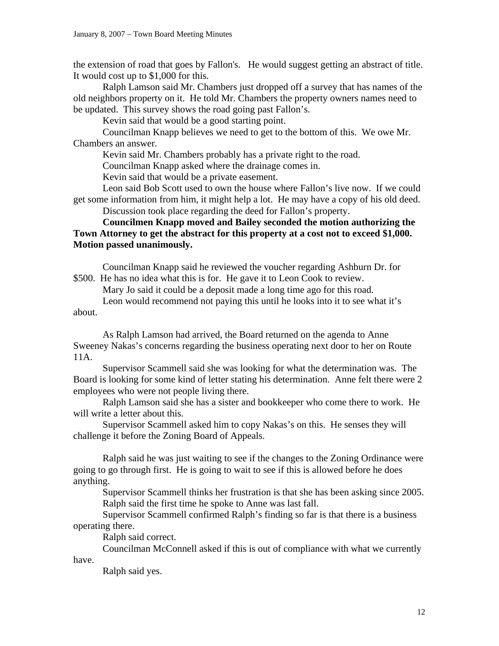the extension of road that goes by Fallon's. He would suggest getting an abstract of title. It would cost up to \$1,000 for this.

 Ralph Lamson said Mr. Chambers just dropped off a survey that has names of the old neighbors property on it. He told Mr. Chambers the property owners names need to be updated. This survey shows the road going past Fallon's.

Kevin said that would be a good starting point.

 Councilman Knapp believes we need to get to the bottom of this. We owe Mr. Chambers an answer.

Kevin said Mr. Chambers probably has a private right to the road.

Councilman Knapp asked where the drainage comes in.

Kevin said that would be a private easement.

 Leon said Bob Scott used to own the house where Fallon's live now. If we could get some information from him, it might help a lot. He may have a copy of his old deed. Discussion took place regarding the deed for Fallon's property.

### **Councilmen Knapp moved and Bailey seconded the motion authorizing the Town Attorney to get the abstract for this property at a cost not to exceed \$1,000. Motion passed unanimously.**

Councilman Knapp said he reviewed the voucher regarding Ashburn Dr. for \$500. He has no idea what this is for. He gave it to Leon Cook to review.

Mary Jo said it could be a deposit made a long time ago for this road.

 Leon would recommend not paying this until he looks into it to see what it's about.

 As Ralph Lamson had arrived, the Board returned on the agenda to Anne Sweeney Nakas's concerns regarding the business operating next door to her on Route 11A.

Supervisor Scammell said she was looking for what the determination was. The Board is looking for some kind of letter stating his determination. Anne felt there were 2 employees who were not people living there.

Ralph Lamson said she has a sister and bookkeeper who come there to work. He will write a letter about this.

Supervisor Scammell asked him to copy Nakas's on this. He senses they will challenge it before the Zoning Board of Appeals.

Ralph said he was just waiting to see if the changes to the Zoning Ordinance were going to go through first. He is going to wait to see if this is allowed before he does anything.

Supervisor Scammell thinks her frustration is that she has been asking since 2005. Ralph said the first time he spoke to Anne was last fall.

Supervisor Scammell confirmed Ralph's finding so far is that there is a business operating there.

Ralph said correct.

Councilman McConnell asked if this is out of compliance with what we currently have.

Ralph said yes.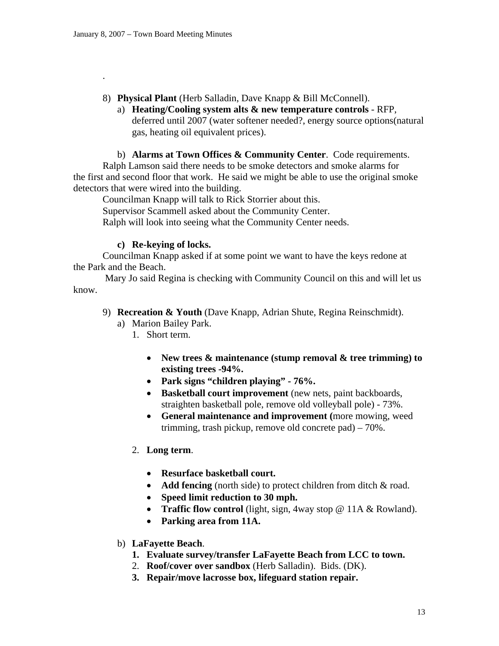.

- 8) **Physical Plant** (Herb Salladin, Dave Knapp & Bill McConnell).
	- a) **Heating/Cooling system alts & new temperature controls** RFP, deferred until 2007 (water softener needed?, energy source options(natural gas, heating oil equivalent prices).

b) **Alarms at Town Offices & Community Center**. Code requirements. Ralph Lamson said there needs to be smoke detectors and smoke alarms for the first and second floor that work. He said we might be able to use the original smoke detectors that were wired into the building.

 Councilman Knapp will talk to Rick Storrier about this. Supervisor Scammell asked about the Community Center. Ralph will look into seeing what the Community Center needs.

### **c) Re-keying of locks.**

Councilman Knapp asked if at some point we want to have the keys redone at the Park and the Beach.

 Mary Jo said Regina is checking with Community Council on this and will let us know.

- 9) **Recreation & Youth** (Dave Knapp, Adrian Shute, Regina Reinschmidt).
	- a) Marion Bailey Park.
		- 1. Short term.
			- **New trees & maintenance (stump removal & tree trimming) to existing trees -94%.**
			- **Park signs "children playing" 76%.**
			- **Basketball court improvement** (new nets, paint backboards, straighten basketball pole, remove old volleyball pole) - 73%.
			- **General maintenance and improvement (**more mowing, weed trimming, trash pickup, remove old concrete pad) – 70%.
		- 2. **Long term**.
			- **Resurface basketball court.**
			- **Add fencing** (north side) to protect children from ditch & road.
			- **Speed limit reduction to 30 mph.**
			- **Traffic flow control** (light, sign, 4way stop @ 11A & Rowland).
			- **Parking area from 11A.**
	- b) **LaFayette Beach**.
		- **1. Evaluate survey/transfer LaFayette Beach from LCC to town.**
		- 2. **Roof/cover over sandbox** (Herb Salladin). Bids. (DK).
		- **3. Repair/move lacrosse box, lifeguard station repair.**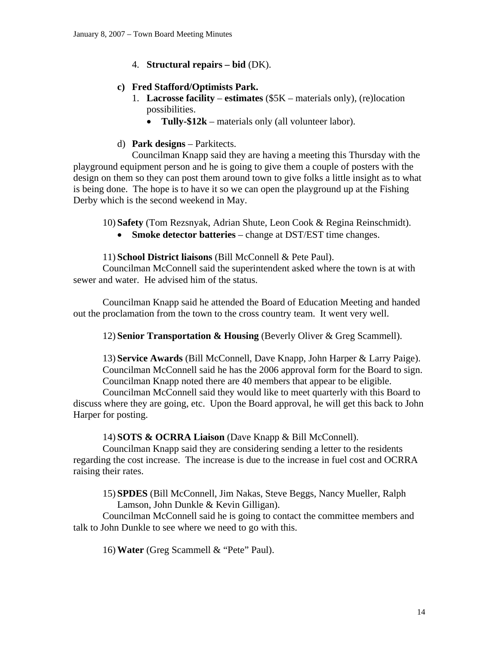4. **Structural repairs – bid** (DK).

## **c) Fred Stafford/Optimists Park.**

- 1. **Lacrosse facility estimates** (\$5K materials only), (re)location possibilities.
	- **Tully-\$12k** materials only (all volunteer labor).

## d) **Park designs** – Parkitects.

Councilman Knapp said they are having a meeting this Thursday with the playground equipment person and he is going to give them a couple of posters with the design on them so they can post them around town to give folks a little insight as to what is being done. The hope is to have it so we can open the playground up at the Fishing Derby which is the second weekend in May.

10) **Safety** (Tom Rezsnyak, Adrian Shute, Leon Cook & Regina Reinschmidt).

• **Smoke detector batteries** – change at DST/EST time changes.

## 11) **School District liaisons** (Bill McConnell & Pete Paul).

Councilman McConnell said the superintendent asked where the town is at with sewer and water. He advised him of the status.

 Councilman Knapp said he attended the Board of Education Meeting and handed out the proclamation from the town to the cross country team. It went very well.

12) **Senior Transportation & Housing** (Beverly Oliver & Greg Scammell).

13) **Service Awards** (Bill McConnell, Dave Knapp, John Harper & Larry Paige). Councilman McConnell said he has the 2006 approval form for the Board to sign. Councilman Knapp noted there are 40 members that appear to be eligible.

Councilman McConnell said they would like to meet quarterly with this Board to discuss where they are going, etc. Upon the Board approval, he will get this back to John Harper for posting.

## 14) **SOTS & OCRRA Liaison** (Dave Knapp & Bill McConnell).

Councilman Knapp said they are considering sending a letter to the residents regarding the cost increase. The increase is due to the increase in fuel cost and OCRRA raising their rates.

15) **SPDES** (Bill McConnell, Jim Nakas, Steve Beggs, Nancy Mueller, Ralph Lamson, John Dunkle & Kevin Gilligan).

Councilman McConnell said he is going to contact the committee members and talk to John Dunkle to see where we need to go with this.

16) **Water** (Greg Scammell & "Pete" Paul).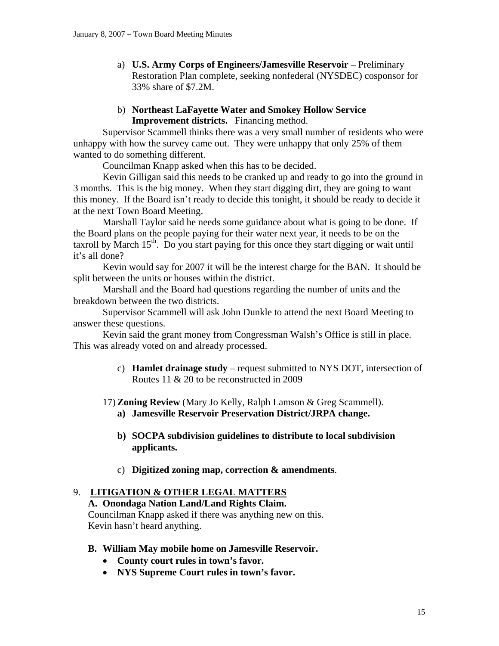a) **U.S. Army Corps of Engineers/Jamesville Reservoir** – Preliminary Restoration Plan complete, seeking nonfederal (NYSDEC) cosponsor for 33% share of \$7.2M.

### b) **Northeast LaFayette Water and Smokey Hollow Service Improvement districts.** Financing method.

Supervisor Scammell thinks there was a very small number of residents who were unhappy with how the survey came out. They were unhappy that only 25% of them wanted to do something different.

Councilman Knapp asked when this has to be decided.

 Kevin Gilligan said this needs to be cranked up and ready to go into the ground in 3 months. This is the big money. When they start digging dirt, they are going to want this money. If the Board isn't ready to decide this tonight, it should be ready to decide it at the next Town Board Meeting.

 Marshall Taylor said he needs some guidance about what is going to be done. If the Board plans on the people paying for their water next year, it needs to be on the taxroll by March  $15<sup>th</sup>$ . Do you start paying for this once they start digging or wait until it's all done?

 Kevin would say for 2007 it will be the interest charge for the BAN. It should be split between the units or houses within the district.

 Marshall and the Board had questions regarding the number of units and the breakdown between the two districts.

 Supervisor Scammell will ask John Dunkle to attend the next Board Meeting to answer these questions.

 Kevin said the grant money from Congressman Walsh's Office is still in place. This was already voted on and already processed.

- c) **Hamlet drainage study** request submitted to NYS DOT, intersection of Routes 11 & 20 to be reconstructed in 2009
- 17) **Zoning Review** (Mary Jo Kelly, Ralph Lamson & Greg Scammell). **a) Jamesville Reservoir Preservation District/JRPA change.** 
	- **b) SOCPA subdivision guidelines to distribute to local subdivision applicants.**
	- c) **Digitized zoning map, correction & amendments**.

### 9. **LITIGATION & OTHER LEGAL MATTERS**

**A. Onondaga Nation Land/Land Rights Claim.**  Councilman Knapp asked if there was anything new on this. Kevin hasn't heard anything.

- **B. William May mobile home on Jamesville Reservoir.** 
	- **County court rules in town's favor.**
	- **NYS Supreme Court rules in town's favor.**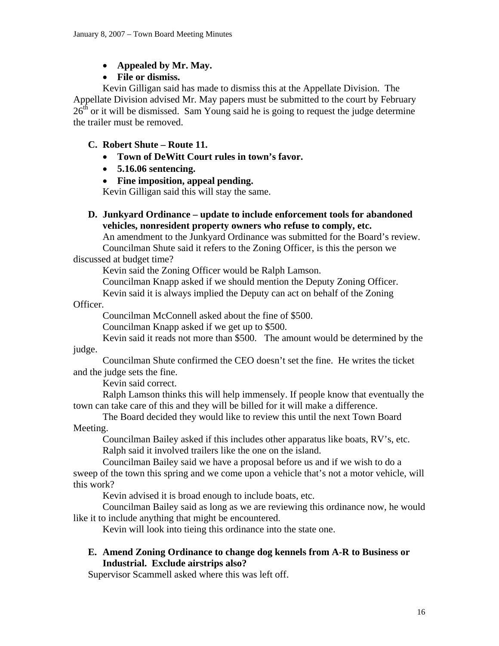- **Appealed by Mr. May.**
- **File or dismiss.**

Kevin Gilligan said has made to dismiss this at the Appellate Division. The Appellate Division advised Mr. May papers must be submitted to the court by February  $26<sup>th</sup>$  or it will be dismissed. Sam Young said he is going to request the judge determine the trailer must be removed.

# **C. Robert Shute – Route 11.**

- **Town of DeWitt Court rules in town's favor.**
- **5.16.06 sentencing.**
- **Fine imposition, appeal pending.**

Kevin Gilligan said this will stay the same.

**D. Junkyard Ordinance – update to include enforcement tools for abandoned vehicles, nonresident property owners who refuse to comply, etc.** 

An amendment to the Junkyard Ordinance was submitted for the Board's review.

Councilman Shute said it refers to the Zoning Officer, is this the person we discussed at budget time?

Kevin said the Zoning Officer would be Ralph Lamson.

Councilman Knapp asked if we should mention the Deputy Zoning Officer.

Kevin said it is always implied the Deputy can act on behalf of the Zoning

Officer.

Councilman McConnell asked about the fine of \$500.

Councilman Knapp asked if we get up to \$500.

Kevin said it reads not more than \$500. The amount would be determined by the

judge.

 Councilman Shute confirmed the CEO doesn't set the fine. He writes the ticket and the judge sets the fine.

Kevin said correct.

 Ralph Lamson thinks this will help immensely. If people know that eventually the town can take care of this and they will be billed for it will make a difference.

 The Board decided they would like to review this until the next Town Board Meeting.

 Councilman Bailey asked if this includes other apparatus like boats, RV's, etc. Ralph said it involved trailers like the one on the island.

 Councilman Bailey said we have a proposal before us and if we wish to do a sweep of the town this spring and we come upon a vehicle that's not a motor vehicle, will this work?

Kevin advised it is broad enough to include boats, etc.

 Councilman Bailey said as long as we are reviewing this ordinance now, he would like it to include anything that might be encountered.

Kevin will look into tieing this ordinance into the state one.

## **E. Amend Zoning Ordinance to change dog kennels from A-R to Business or Industrial. Exclude airstrips also?**

Supervisor Scammell asked where this was left off.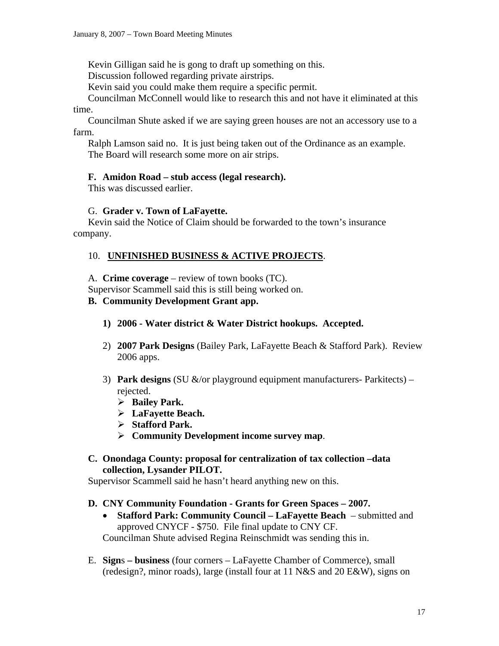Kevin Gilligan said he is gong to draft up something on this.

Discussion followed regarding private airstrips.

Kevin said you could make them require a specific permit.

Councilman McConnell would like to research this and not have it eliminated at this

### time.

 Councilman Shute asked if we are saying green houses are not an accessory use to a farm.

 Ralph Lamson said no. It is just being taken out of the Ordinance as an example. The Board will research some more on air strips.

### **F. Amidon Road – stub access (legal research).**

This was discussed earlier.

### G. **Grader v. Town of LaFayette.**

Kevin said the Notice of Claim should be forwarded to the town's insurance company.

### 10. **UNFINISHED BUSINESS & ACTIVE PROJECTS**.

A. **Crime coverage** – review of town books (TC).

Supervisor Scammell said this is still being worked on.

### **B. Community Development Grant app.**

- **1) 2006 Water district & Water District hookups. Accepted.**
- 2) **2007 Park Designs** (Bailey Park, LaFayette Beach & Stafford Park). Review 2006 apps.
- 3) **Park designs** (SU &/or playground equipment manufacturers- Parkitects) rejected.
	- ¾ **Bailey Park.**
	- ¾ **LaFayette Beach.**
	- ¾ **Stafford Park.**
	- ¾ **Community Development income survey map**.
- **C. Onondaga County: proposal for centralization of tax collection –data collection, Lysander PILOT.**

Supervisor Scammell said he hasn't heard anything new on this.

### **D. CNY Community Foundation - Grants for Green Spaces – 2007.**

- **Stafford Park: Community Council LaFayette Beach**  submitted and approved CNYCF - \$750. File final update to CNY CF. Councilman Shute advised Regina Reinschmidt was sending this in.
- E. **Sign**s **business** (four corners LaFayette Chamber of Commerce), small (redesign?, minor roads), large (install four at 11 N&S and 20 E&W), signs on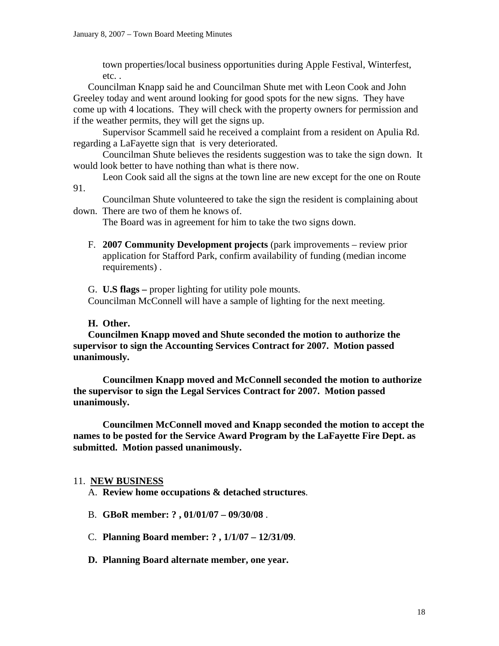town properties/local business opportunities during Apple Festival, Winterfest, etc. .

Councilman Knapp said he and Councilman Shute met with Leon Cook and John Greeley today and went around looking for good spots for the new signs. They have come up with 4 locations. They will check with the property owners for permission and if the weather permits, they will get the signs up.

 Supervisor Scammell said he received a complaint from a resident on Apulia Rd. regarding a LaFayette sign that is very deteriorated.

 Councilman Shute believes the residents suggestion was to take the sign down. It would look better to have nothing than what is there now.

 Leon Cook said all the signs at the town line are new except for the one on Route 91.

 Councilman Shute volunteered to take the sign the resident is complaining about down. There are two of them he knows of.

The Board was in agreement for him to take the two signs down.

F. **2007 Community Development projects** (park improvements – review prior application for Stafford Park, confirm availability of funding (median income requirements) .

G. **U.S flags –** proper lighting for utility pole mounts. Councilman McConnell will have a sample of lighting for the next meeting.

### **H. Other.**

**Councilmen Knapp moved and Shute seconded the motion to authorize the supervisor to sign the Accounting Services Contract for 2007. Motion passed unanimously.** 

 **Councilmen Knapp moved and McConnell seconded the motion to authorize the supervisor to sign the Legal Services Contract for 2007. Motion passed unanimously.** 

 **Councilmen McConnell moved and Knapp seconded the motion to accept the names to be posted for the Service Award Program by the LaFayette Fire Dept. as submitted. Motion passed unanimously.** 

### 11. **NEW BUSINESS**

A. **Review home occupations & detached structures**.

- B. **GBoR member: ? , 01/01/07 09/30/08** .
- C. **Planning Board member: ? , 1/1/07 12/31/09**.
- **D. Planning Board alternate member, one year.**